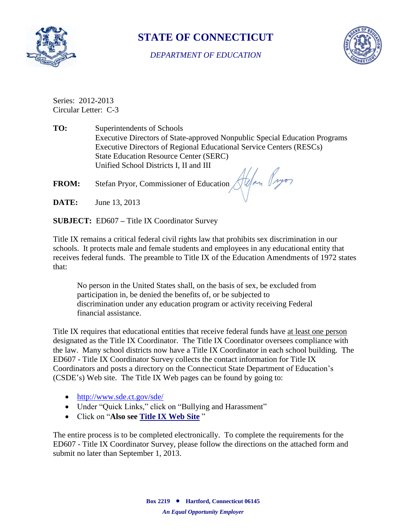

## **STATE OF CONNECTICUT**

*DEPARTMENT OF EDUCATION*



Series: 2012-2013 Circular Letter: C-3

**TO:** Superintendents of Schools Executive Directors of State-approved Nonpublic Special Education Programs Executive Directors of Regional Educational Service Centers (RESCs) State Education Resource Center (SERC) Unified School Districts I, II and III

**FROM:** Stefan Pryor, Commissioner of Education Alexander (1990)

**DATE:** June 13, 2013

**SUBJECT:** ED607 **–** Title IX Coordinator Survey

Title IX remains a critical federal civil rights law that prohibits sex discrimination in our schools. It protects male and female students and employees in any educational entity that receives federal funds. The preamble to Title IX of the Education Amendments of 1972 states that:

No person in the United States shall, on the basis of sex, be excluded from participation in, be denied the benefits of, or be subjected to discrimination under any education program or activity receiving Federal financial assistance.

Title IX requires that educational entities that receive federal funds have at least one person designated as the Title IX Coordinator. The Title IX Coordinator oversees compliance with the law. Many school districts now have a Title IX Coordinator in each school building. The ED607 - Title IX Coordinator Survey collects the contact information for Title IX Coordinators and posts a directory on the Connecticut State Department of Education's (CSDE's) Web site. The Title IX Web pages can be found by going to:

- <http://www.sde.ct.gov/sde/>
- Under "Quick Links," click on "Bullying and Harassment"
- Click on "**Also see [Title IX Web](http://www.sde.ct.gov/sde/cwp/view.asp?a=2681&q=320472) Site** "

The entire process is to be completed electronically. To complete the requirements for the ED607 - Title IX Coordinator Survey, please follow the directions on the attached form and submit no later than September 1, 2013.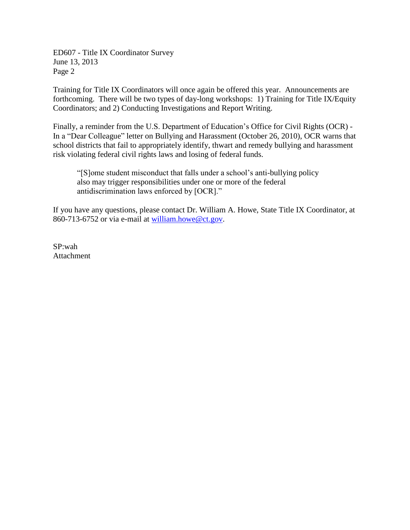ED607 - Title IX Coordinator Survey June 13, 2013 Page 2

Training for Title IX Coordinators will once again be offered this year. Announcements are forthcoming. There will be two types of day-long workshops: 1) Training for Title IX/Equity Coordinators; and 2) Conducting Investigations and Report Writing.

Finally, a reminder from the U.S. Department of Education's Office for Civil Rights (OCR) - In a "Dear Colleague" letter on Bullying and Harassment (October 26, 2010), OCR warns that school districts that fail to appropriately identify, thwart and remedy bullying and harassment risk violating federal civil rights laws and losing of federal funds.

"[S]ome student misconduct that falls under a school's anti-bullying policy also may trigger responsibilities under one or more of the federal antidiscrimination laws enforced by [OCR]."

If you have any questions, please contact Dr. William A. Howe, State Title IX Coordinator, at 860-713-6752 or via e-mail at [william.howe@ct.gov.](mailto:william.howe@ct.gov)

SP:wah Attachment